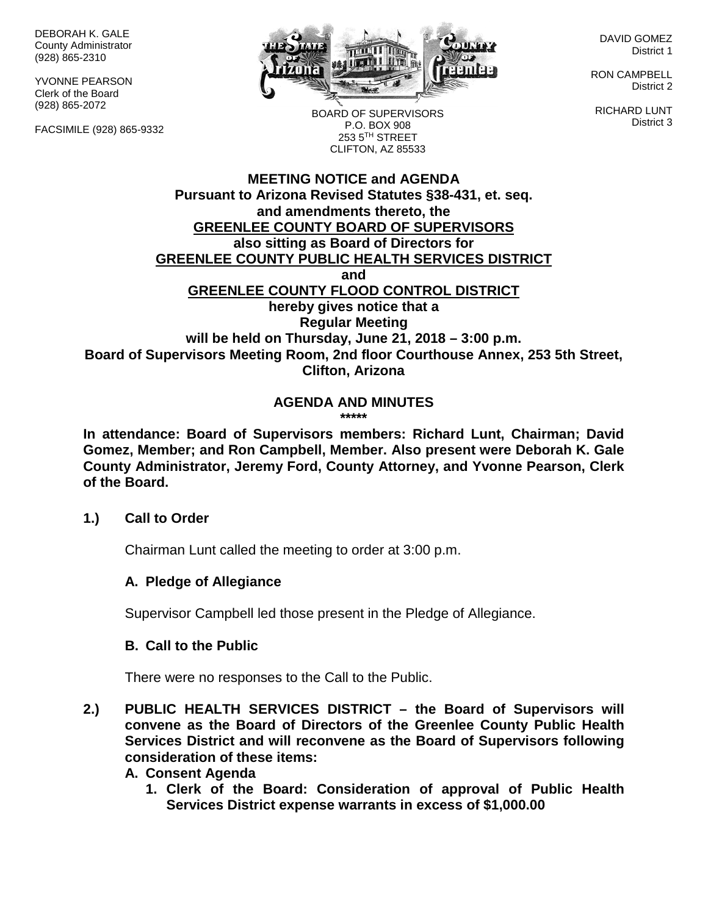DEBORAH K. GALE County Administrator (928) 865-2310

YVONNE PEARSON Clerk of the Board (928) 865-2072

FACSIMILE (928) 865-9332



DAVID GOMEZ District 1

RON CAMPBELL District 2

RICHARD LUNT District 3

BOARD OF SUPERVISORS P.O. BOX 908 253 5TH STREET CLIFTON, AZ 85533

#### **MEETING NOTICE and AGENDA Pursuant to Arizona Revised Statutes §38-431, et. seq. and amendments thereto, the GREENLEE COUNTY BOARD OF SUPERVISORS also sitting as Board of Directors for GREENLEE COUNTY PUBLIC HEALTH SERVICES DISTRICT and GREENLEE COUNTY FLOOD CONTROL DISTRICT hereby gives notice that a Regular Meeting will be held on Thursday, June 21, 2018 – 3:00 p.m. Board of Supervisors Meeting Room, 2nd floor Courthouse Annex, 253 5th Street, Clifton, Arizona**

#### **AGENDA AND MINUTES \*\*\*\*\***

**In attendance: Board of Supervisors members: Richard Lunt, Chairman; David Gomez, Member; and Ron Campbell, Member. Also present were Deborah K. Gale County Administrator, Jeremy Ford, County Attorney, and Yvonne Pearson, Clerk of the Board.**

### **1.) Call to Order**

Chairman Lunt called the meeting to order at 3:00 p.m.

### **A. Pledge of Allegiance**

Supervisor Campbell led those present in the Pledge of Allegiance.

### **B. Call to the Public**

There were no responses to the Call to the Public.

**2.) PUBLIC HEALTH SERVICES DISTRICT – the Board of Supervisors will convene as the Board of Directors of the Greenlee County Public Health Services District and will reconvene as the Board of Supervisors following consideration of these items:**

#### **A. Consent Agenda**

**1. Clerk of the Board: Consideration of approval of Public Health Services District expense warrants in excess of \$1,000.00**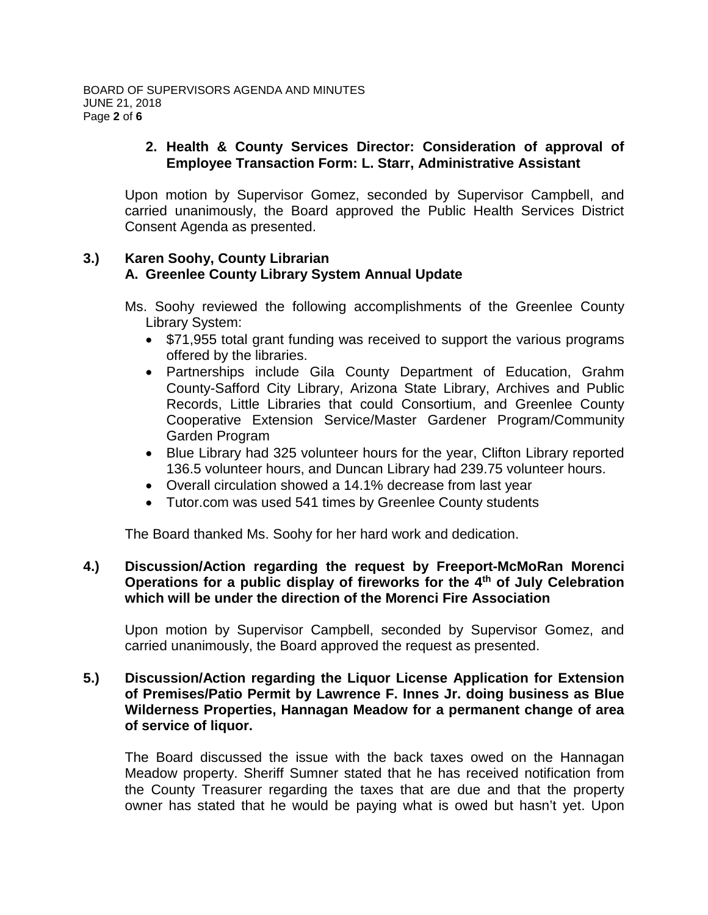### **2. Health & County Services Director: Consideration of approval of Employee Transaction Form: L. Starr, Administrative Assistant**

Upon motion by Supervisor Gomez, seconded by Supervisor Campbell, and carried unanimously, the Board approved the Public Health Services District Consent Agenda as presented.

### **3.) Karen Soohy, County Librarian A. Greenlee County Library System Annual Update**

- Ms. Soohy reviewed the following accomplishments of the Greenlee County Library System:
	- \$71,955 total grant funding was received to support the various programs offered by the libraries.
	- Partnerships include Gila County Department of Education, Grahm County-Safford City Library, Arizona State Library, Archives and Public Records, Little Libraries that could Consortium, and Greenlee County Cooperative Extension Service/Master Gardener Program/Community Garden Program
	- Blue Library had 325 volunteer hours for the year, Clifton Library reported 136.5 volunteer hours, and Duncan Library had 239.75 volunteer hours.
	- Overall circulation showed a 14.1% decrease from last year
	- Tutor.com was used 541 times by Greenlee County students

The Board thanked Ms. Soohy for her hard work and dedication.

## **4.) Discussion/Action regarding the request by Freeport-McMoRan Morenci Operations for a public display of fireworks for the 4th of July Celebration which will be under the direction of the Morenci Fire Association**

Upon motion by Supervisor Campbell, seconded by Supervisor Gomez, and carried unanimously, the Board approved the request as presented.

### **5.) Discussion/Action regarding the Liquor License Application for Extension of Premises/Patio Permit by Lawrence F. Innes Jr. doing business as Blue Wilderness Properties, Hannagan Meadow for a permanent change of area of service of liquor.**

The Board discussed the issue with the back taxes owed on the Hannagan Meadow property. Sheriff Sumner stated that he has received notification from the County Treasurer regarding the taxes that are due and that the property owner has stated that he would be paying what is owed but hasn't yet. Upon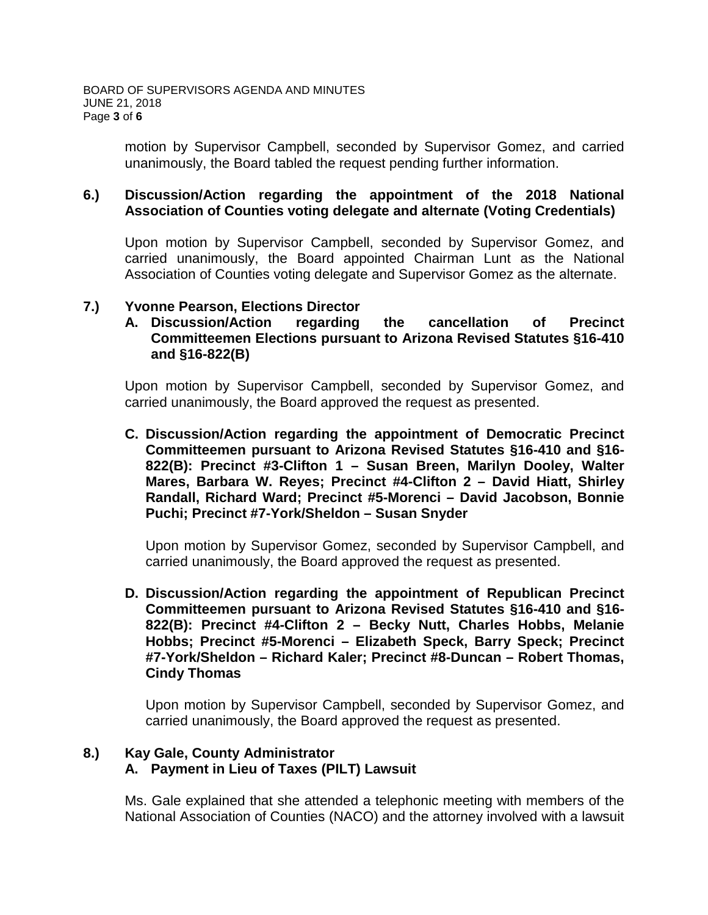motion by Supervisor Campbell, seconded by Supervisor Gomez, and carried unanimously, the Board tabled the request pending further information.

#### **6.) Discussion/Action regarding the appointment of the 2018 National Association of Counties voting delegate and alternate (Voting Credentials)**

Upon motion by Supervisor Campbell, seconded by Supervisor Gomez, and carried unanimously, the Board appointed Chairman Lunt as the National Association of Counties voting delegate and Supervisor Gomez as the alternate.

### **7.) Yvonne Pearson, Elections Director**

**A. Discussion/Action regarding the cancellation of Precinct Committeemen Elections pursuant to Arizona Revised Statutes §16-410 and §16-822(B)**

Upon motion by Supervisor Campbell, seconded by Supervisor Gomez, and carried unanimously, the Board approved the request as presented.

**C. Discussion/Action regarding the appointment of Democratic Precinct Committeemen pursuant to Arizona Revised Statutes §16-410 and §16- 822(B): Precinct #3-Clifton 1 – Susan Breen, Marilyn Dooley, Walter Mares, Barbara W. Reyes; Precinct #4-Clifton 2 – David Hiatt, Shirley Randall, Richard Ward; Precinct #5-Morenci – David Jacobson, Bonnie Puchi; Precinct #7-York/Sheldon – Susan Snyder**

Upon motion by Supervisor Gomez, seconded by Supervisor Campbell, and carried unanimously, the Board approved the request as presented.

**D. Discussion/Action regarding the appointment of Republican Precinct Committeemen pursuant to Arizona Revised Statutes §16-410 and §16- 822(B): Precinct #4-Clifton 2 – Becky Nutt, Charles Hobbs, Melanie Hobbs; Precinct #5-Morenci – Elizabeth Speck, Barry Speck; Precinct #7-York/Sheldon – Richard Kaler; Precinct #8-Duncan – Robert Thomas, Cindy Thomas**

Upon motion by Supervisor Campbell, seconded by Supervisor Gomez, and carried unanimously, the Board approved the request as presented.

### **8.) Kay Gale, County Administrator**

### **A. Payment in Lieu of Taxes (PILT) Lawsuit**

Ms. Gale explained that she attended a telephonic meeting with members of the National Association of Counties (NACO) and the attorney involved with a lawsuit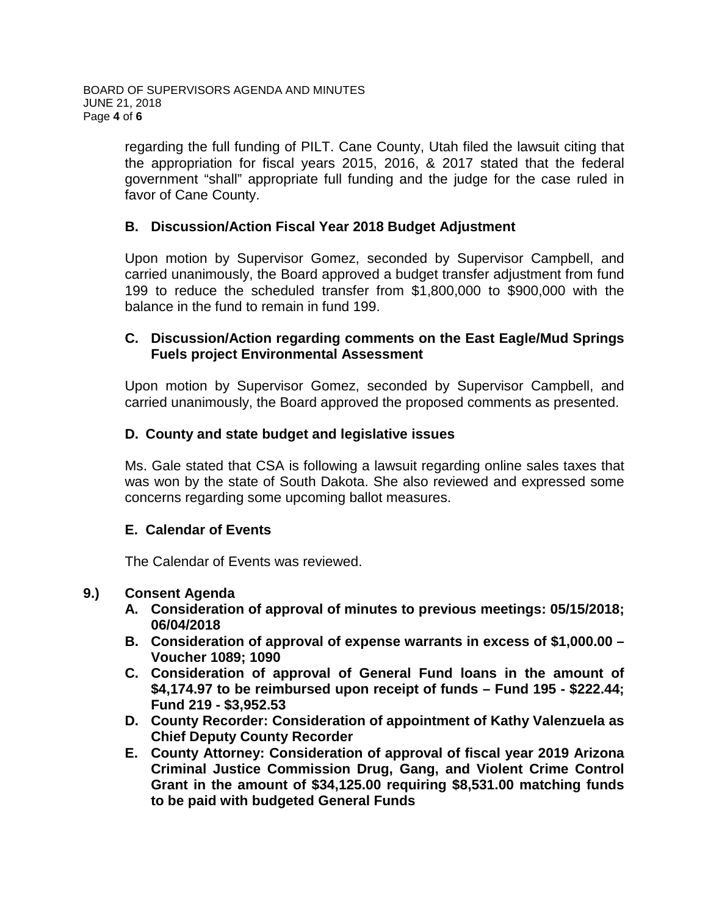regarding the full funding of PILT. Cane County, Utah filed the lawsuit citing that the appropriation for fiscal years 2015, 2016, & 2017 stated that the federal government "shall" appropriate full funding and the judge for the case ruled in favor of Cane County.

### **B. Discussion/Action Fiscal Year 2018 Budget Adjustment**

Upon motion by Supervisor Gomez, seconded by Supervisor Campbell, and carried unanimously, the Board approved a budget transfer adjustment from fund 199 to reduce the scheduled transfer from \$1,800,000 to \$900,000 with the balance in the fund to remain in fund 199.

### **C. Discussion/Action regarding comments on the East Eagle/Mud Springs Fuels project Environmental Assessment**

Upon motion by Supervisor Gomez, seconded by Supervisor Campbell, and carried unanimously, the Board approved the proposed comments as presented.

## **D. County and state budget and legislative issues**

Ms. Gale stated that CSA is following a lawsuit regarding online sales taxes that was won by the state of South Dakota. She also reviewed and expressed some concerns regarding some upcoming ballot measures.

### **E. Calendar of Events**

The Calendar of Events was reviewed.

### **9.) Consent Agenda**

- **A. Consideration of approval of minutes to previous meetings: 05/15/2018; 06/04/2018**
- **B. Consideration of approval of expense warrants in excess of \$1,000.00 – Voucher 1089; 1090**
- **C. Consideration of approval of General Fund loans in the amount of \$4,174.97 to be reimbursed upon receipt of funds – Fund 195 - \$222.44; Fund 219 - \$3,952.53**
- **D. County Recorder: Consideration of appointment of Kathy Valenzuela as Chief Deputy County Recorder**
- **E. County Attorney: Consideration of approval of fiscal year 2019 Arizona Criminal Justice Commission Drug, Gang, and Violent Crime Control Grant in the amount of \$34,125.00 requiring \$8,531.00 matching funds to be paid with budgeted General Funds**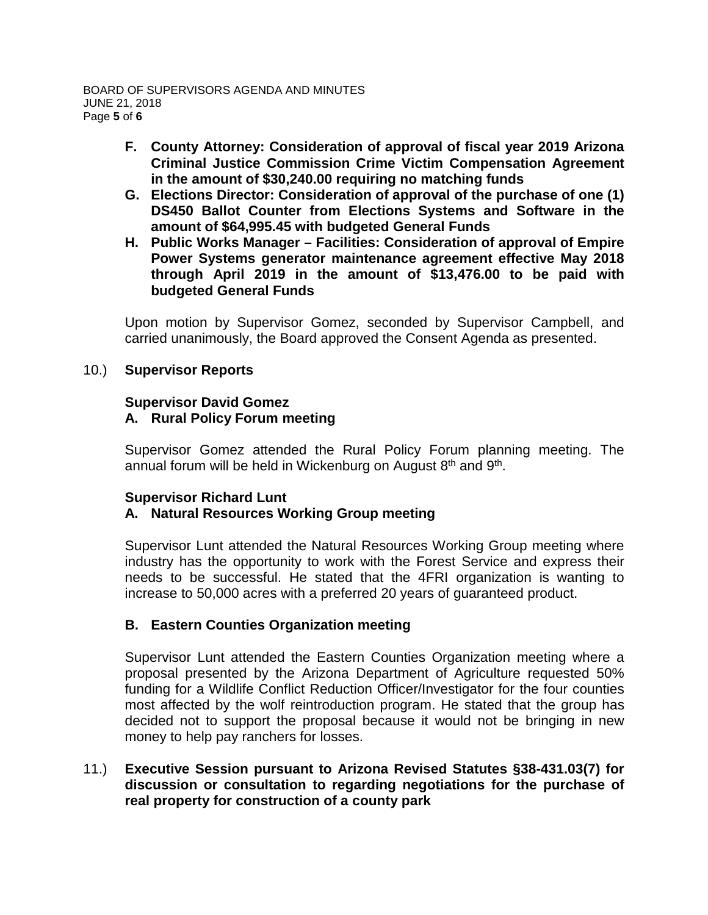- **F. County Attorney: Consideration of approval of fiscal year 2019 Arizona Criminal Justice Commission Crime Victim Compensation Agreement in the amount of \$30,240.00 requiring no matching funds**
- **G. Elections Director: Consideration of approval of the purchase of one (1) DS450 Ballot Counter from Elections Systems and Software in the amount of \$64,995.45 with budgeted General Funds**
- **H. Public Works Manager – Facilities: Consideration of approval of Empire Power Systems generator maintenance agreement effective May 2018 through April 2019 in the amount of \$13,476.00 to be paid with budgeted General Funds**

Upon motion by Supervisor Gomez, seconded by Supervisor Campbell, and carried unanimously, the Board approved the Consent Agenda as presented.

### 10.) **Supervisor Reports**

#### **Supervisor David Gomez A. Rural Policy Forum meeting**

Supervisor Gomez attended the Rural Policy Forum planning meeting. The annual forum will be held in Wickenburg on August  $8<sup>th</sup>$  and  $9<sup>th</sup>$ .

### **Supervisor Richard Lunt A. Natural Resources Working Group meeting**

Supervisor Lunt attended the Natural Resources Working Group meeting where industry has the opportunity to work with the Forest Service and express their needs to be successful. He stated that the 4FRI organization is wanting to increase to 50,000 acres with a preferred 20 years of guaranteed product.

# **B. Eastern Counties Organization meeting**

Supervisor Lunt attended the Eastern Counties Organization meeting where a proposal presented by the Arizona Department of Agriculture requested 50% funding for a Wildlife Conflict Reduction Officer/Investigator for the four counties most affected by the wolf reintroduction program. He stated that the group has decided not to support the proposal because it would not be bringing in new money to help pay ranchers for losses.

### 11.) **Executive Session pursuant to Arizona Revised Statutes §38-431.03(7) for discussion or consultation to regarding negotiations for the purchase of real property for construction of a county park**